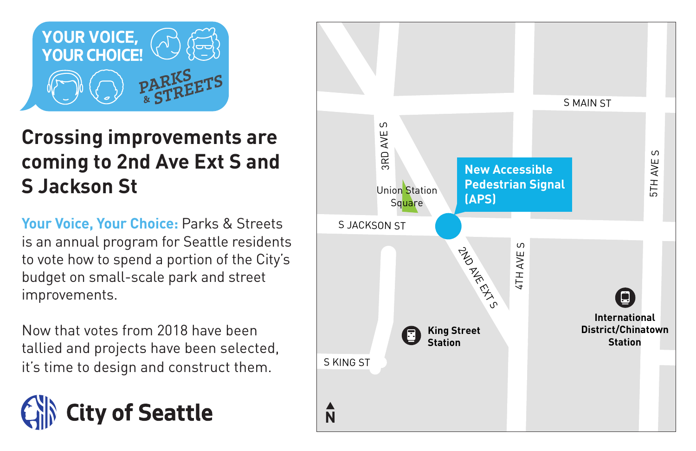

### **Crossing improvements are coming to 2nd Ave Ext S and S Jackson St**

**Your Voice, Your Choice:** Parks & Streets is an annual program for Seattle residents to vote how to spend a portion of the City's budget on small-scale park and street improvements.

Now that votes from 2018 have been tallied and projects have been selected, it's time to design and construct them.



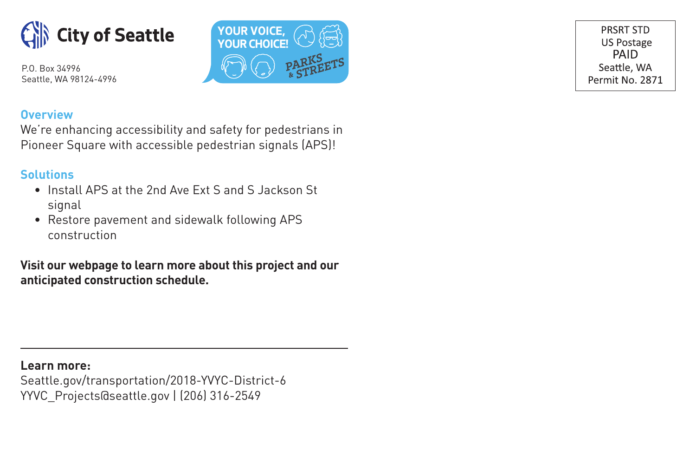



PRSRT STD **US Postage** PAID Seattle, WA Permit No. 2871

#### **Overview**

We're enhancing accessibility and safety for pedestrians in Pioneer Square with accessible pedestrian signals (APS)!

#### **Solutions**

- Install APS at the 2nd Ave Ext S and S Jackson St signal
- Restore pavement and sidewalk following APS construction

**Visit our webpage to learn more about this project and our anticipated construction schedule.**

**Learn more:** Seattle.gov/transportation/2018-YVYC-District-6 YYVC\_Projects@seattle.gov | (206) 316-2549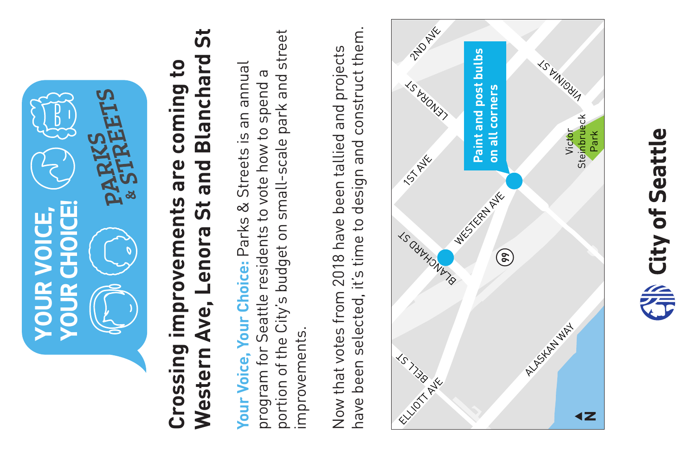

# <u>່ທີ່</u> **Western Ave, Lenora St and Blanchard St** Western Ave, Lenora St and Blanchard **Crossing improvements are coming to**  Crossing improvements are coming to

portion of the City's budget on small-scale park and street portion of the City's budget on small-scale park and street **Your Voice, Your Choice:** Parks & Streets is an annual Your Voice, Your Choice: Parks & Streets is an annual program for Seattle residents to vote how to spend a program for Seattle residents to vote how to spend a improvements. improvements.

have been selected, it's time to design and construct them. have been selected, it's time to design and construct them. Now that votes from 2018 have been tallied and projects Now that votes from 2018 have been tallied and projects



**Seattle**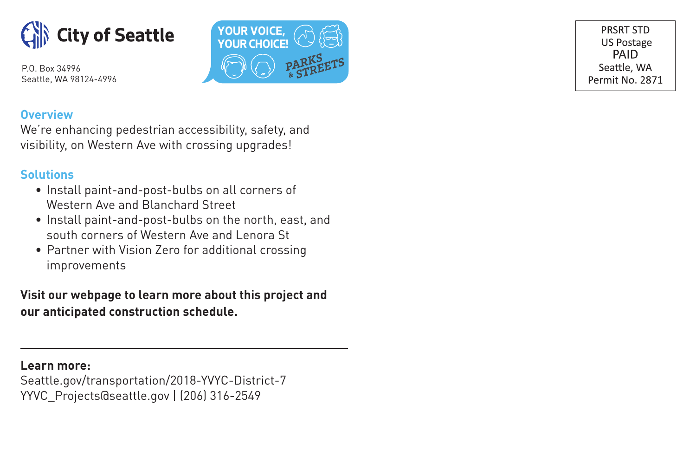



PRSRT STD **US Postage** PAID Seattle, WA Permit No. 2871

#### **Overview**

We're enhancing pedestrian accessibility, safety, and visibility, on Western Ave with crossing upgrades!

#### **Solutions**

- Install paint-and-post-bulbs on all corners of Western Ave and Blanchard Street
- Install paint-and-post-bulbs on the north, east, and south corners of Western Ave and Lenora St
- Partner with Vision Zero for additional crossing improvements

**Visit our webpage to learn more about this project and our anticipated construction schedule.**

**Learn more:**

Seattle.gov/transportation/2018-YVYC-District-7 YYVC\_Projects@seattle.gov | (206) 316-2549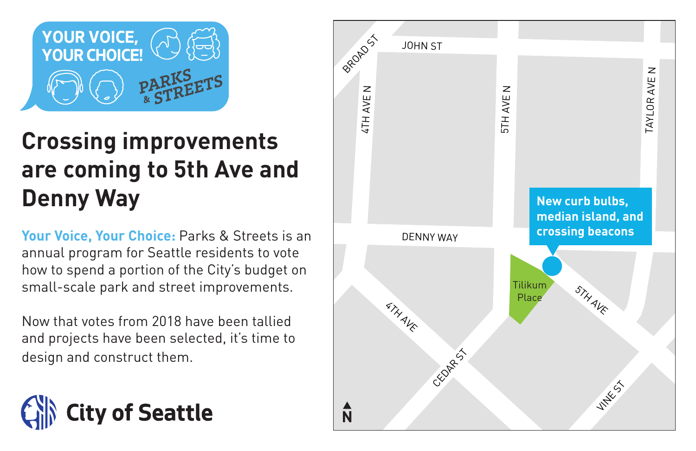

## **Crossing improvements are coming to 5th Ave and Denny Way**

**Your Voice, Your Choice:** Parks & Streets is an annual program for Seattle residents to vote how to spend a portion of the City's budget on small-scale park and street improvements.

Now that votes from 2018 have been tallied and projects have been selected, it's time to design and construct them.



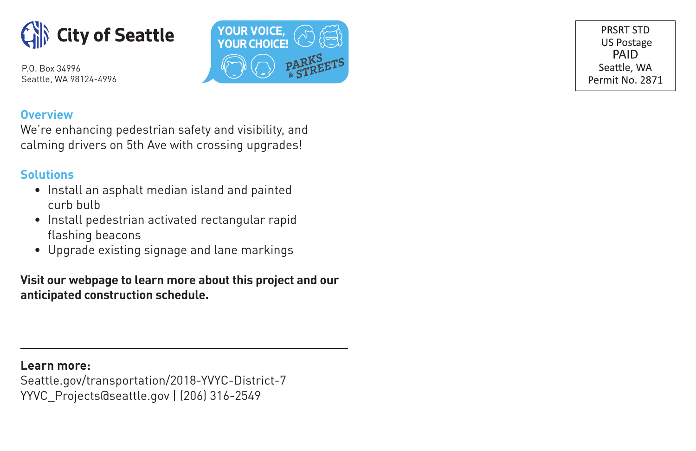



PRSRT STD **US Postage** PAID Seattle, WA Permit No. 2871

#### **Overview**

We're enhancing pedestrian safety and visibility, and calming drivers on 5th Ave with crossing upgrades!

#### **Solutions**

- Install an asphalt median island and painted curb bulb
- Install pedestrian activated rectangular rapid flashing beacons
- Upgrade existing signage and lane markings

#### **Visit our webpage to learn more about this project and our anticipated construction schedule.**

**Learn more:**

Seattle.gov/transportation/2018-YVYC-District-7 YYVC\_Projects@seattle.gov | (206) 316-2549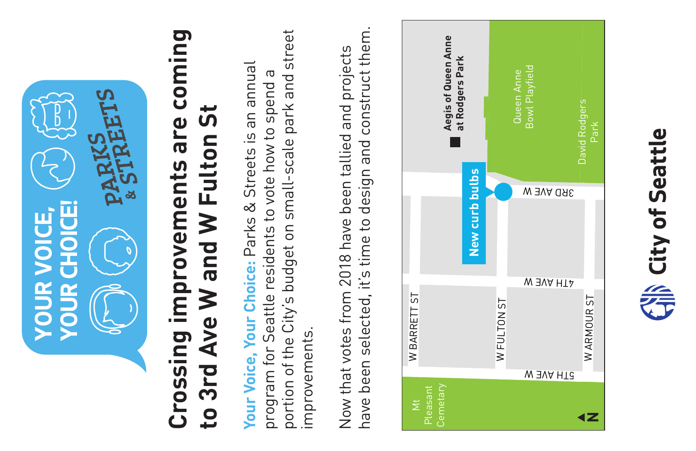

# **Crossing improvements are coming**  Crossing improvements are coming to 3rd Ave W and W Fulton St **to 3rd Ave W and W Fulton St**

portion of the City's budget on small-scale park and street portion of the City's budget on small-scale park and street **Your Voice, Your Choice:** Parks & Streets is an annual Your Voice, Your Choice: Parks & Streets is an annual program for Seattle residents to vote how to spend a program for Seattle residents to vote how to spend improvements. improvements.

have been selected, it's time to design and construct them. have been selected, it's time to design and construct them. Now that votes from 2018 have been tallied and projects Now that votes from 2018 have been tallied and projects



**Seattle**